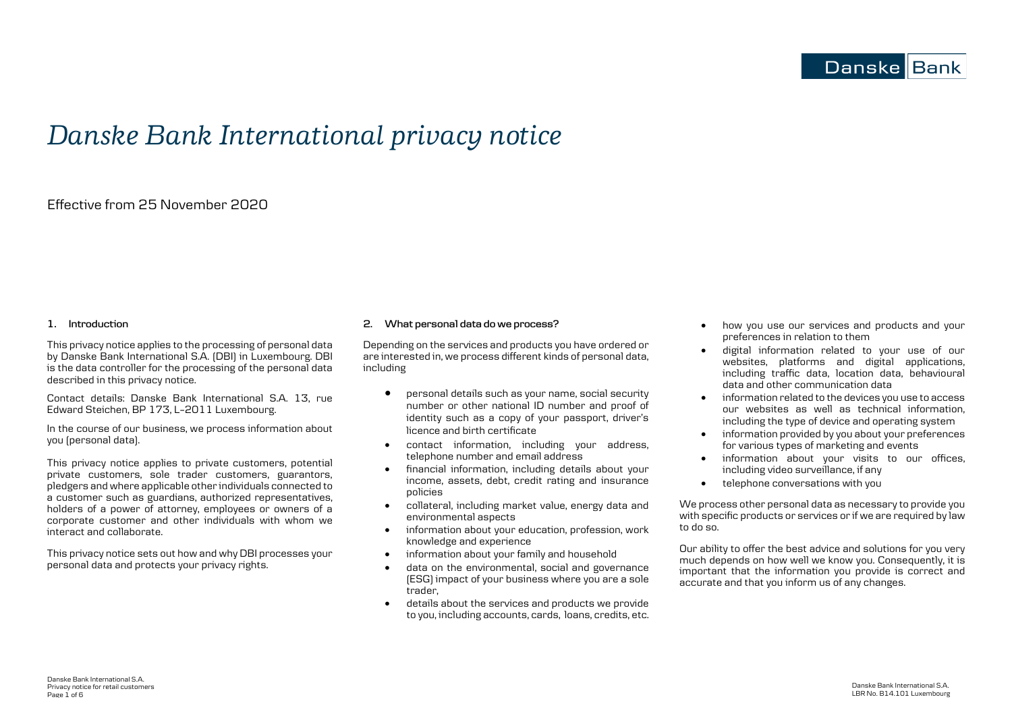# *Danske Bank International privacy notice*

# Effective from 25 November 2020

# **1. Introduction**

This privacy notice applies to the processing of personal data by Danske Bank International S.A. (DBI) in Luxembourg. DBI is the data controller for the processing of the personal data described in this privacy notice.

Contact details: Danske Bank International S.A. 13, rue Edward Steichen, BP 173, L–2011 Luxembourg.

In the course of our business, we process information about you (personal data).

This privacy notice applies to private customers, potential private customers, sole trader customers, guarantors, pledgers and where applicable other individuals connected to a customer such as guardians, authorized representatives, holders of a power of attorney, employees or owners of a corporate customer and other individuals with whom we interact and collaborate.

This privacy notice sets out how and why DBI processes your personal data and protects your privacy rights.

# **2. What personal data do we process?**

Depending on the services and products you have ordered or are interested in, we process different kinds of personal data, including

- personal details such as your name, social security number or other national ID number and proof of identity such as a copy of your passport, driver's licence and birth certificate
- contact information, including your address, telephone number and email address
- financial information, including details about your income, assets, debt, credit rating and insurance policies
- collateral, including market value, energy data and environmental aspects
- information about your education, profession, work knowledge and experience
- information about your family and household
- data on the environmental, social and governance (ESG) impact of your business where you are a sole trader,
- details about the services and products we provide to you, including accounts, cards, loans, credits, etc.
- how you use our services and products and your preferences in relation to them
- digital information related to your use of our websites, platforms and digital applications, including traffic data, location data, behavioural data and other communication data
- information related to the devices you use to access our websites as well as technical information, including the type of device and operating system
- information provided by you about your preferences for various types of marketing and events
- information about your visits to our offices, including video surveillance, if any
- telephone conversations with you

We process other personal data as necessary to provide you with specific products or services or if we are required by law to do so.

Our ability to offer the best advice and solutions for you very much depends on how well we know you. Consequently, it is important that the information you provide is correct and accurate and that you inform us of any changes.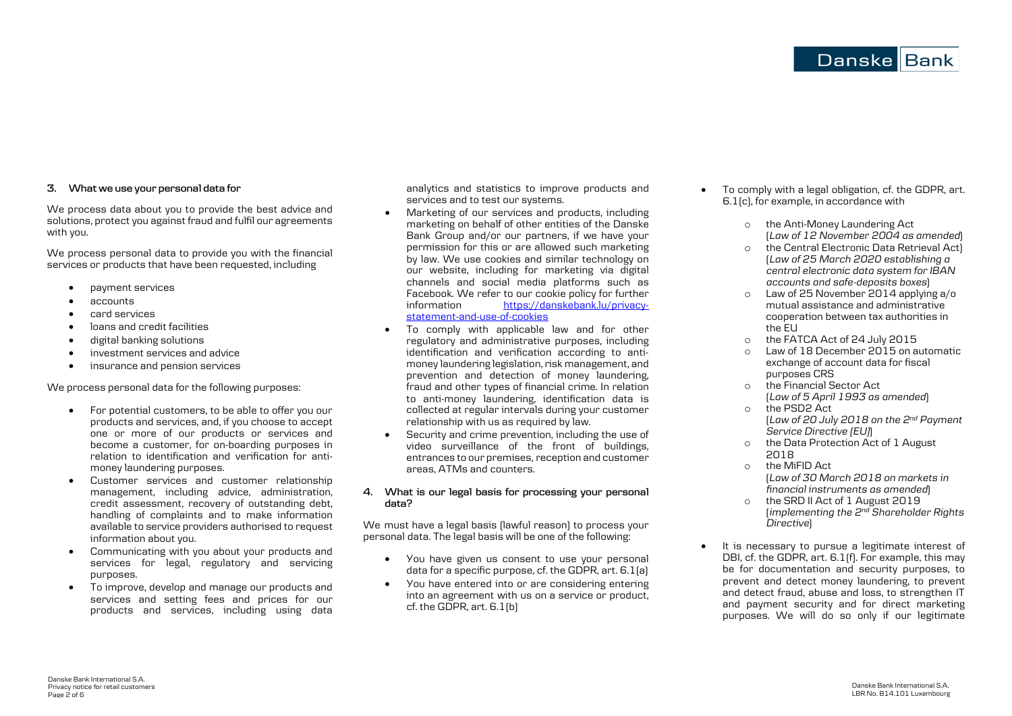# **Danske Bank**

# **3. What we use your personal data for**

We process data about you to provide the best advice and solutions, protect you against fraud and fulfil our agreements with you.

We process personal data to provide you with the financial services or products that have been requested, including

- payment services
- accounts
- card services
- loans and credit facilities
- digital banking solutions
- investment services and advice
- insurance and pension services

We process personal data for the following purposes:

- For potential customers, to be able to offer you our products and services, and, if you choose to accept one or more of our products or services and become a customer, for on-boarding purposes in relation to identification and verification for antimoney laundering purposes.
- Customer services and customer relationship management, including advice, administration, credit assessment, recovery of outstanding debt, handling of complaints and to make information available to service providers authorised to request information about you.
- Communicating with you about your products and services for legal, regulatory and servicing purposes.
- To improve, develop and manage our products and services and setting fees and prices for our products and services, including using data

analytics and statistics to improve products and services and to test our systems.

- Marketing of our services and products, including marketing on behalf of other entities of the Danske Bank Group and/or our partners, if we have your permission for this or are allowed such marketing by law. We use cookies and similar technology on our website, including for marketing via digital channels and social media platforms such as Facebook. We refer to our cookie policy for further<br>information https://danskebank.lu/privacy[https://danskebank.lu/privacy](https://danskebank.lu/privacy-statement-and-use-of-cookies)[statement-and-use-of-cookies](https://danskebank.lu/privacy-statement-and-use-of-cookies)
- To comply with applicable law and for other regulatory and administrative purposes, including identification and verification according to antimoney laundering legislation, risk management, and prevention and detection of money laundering, fraud and other types of financial crime. In relation to anti-money laundering, identification data is collected at regular intervals during your customer relationship with us as required by law.
- Security and crime prevention, including the use of video surveillance of the front of buildings, entrances to our premises, reception and customer areas, ATMs and counters.

# **4. What is our legal basis for processing your personal data?**

We must have a legal basis (lawful reason) to process your personal data. The legal basis will be one of the following:

- You have given us consent to use your personal data for a specific purpose, cf. the GDPR, art. 6.1(a)
- You have entered into or are considering entering into an agreement with us on a service or product, cf. the GDPR, art. 6.1(b)
- To comply with a legal obligation, cf. the GDPR, art. 6.1(c), for example, in accordance with
	- o the Anti-Money Laundering Act (*Law of 12 November 2004 as amended*)
	- o the Central Electronic Data Retrieval Act) (*Law of 25 March 2020 establishing a central electronic data system for IBAN accounts and safe-deposits boxes*)
	- o Law of 25 November 2014 applying a/o mutual assistance and administrative cooperation between tax authorities in the EU
	- o the FATCA Act of 24 July 2015
	- Law of 18 December 2015 on automatic exchange of account data for fiscal purposes CRS
	- o the Financial Sector Act (*Law of 5 April 1993 as amended*)
	- o the PSD2 Act (*Law of 20 July 2018 on the 2nd Payment Service Directive (EU)*)
	- o the Data Protection Act of 1 August 2018
	- o the MiFID Act (*Law of 30 March 2018 on markets in financial instruments as amended*)
	- o the SRD II Act of 1 August 2019 (*implementing the 2nd Shareholder Rights Directive*)
- It is necessary to pursue a legitimate interest of DBI, cf. the GDPR, art. 6.1(f). For example, this may be for documentation and security purposes, to prevent and detect money laundering, to prevent and detect fraud, abuse and loss, to strengthen IT and payment security and for direct marketing purposes. We will do so only if our legitimate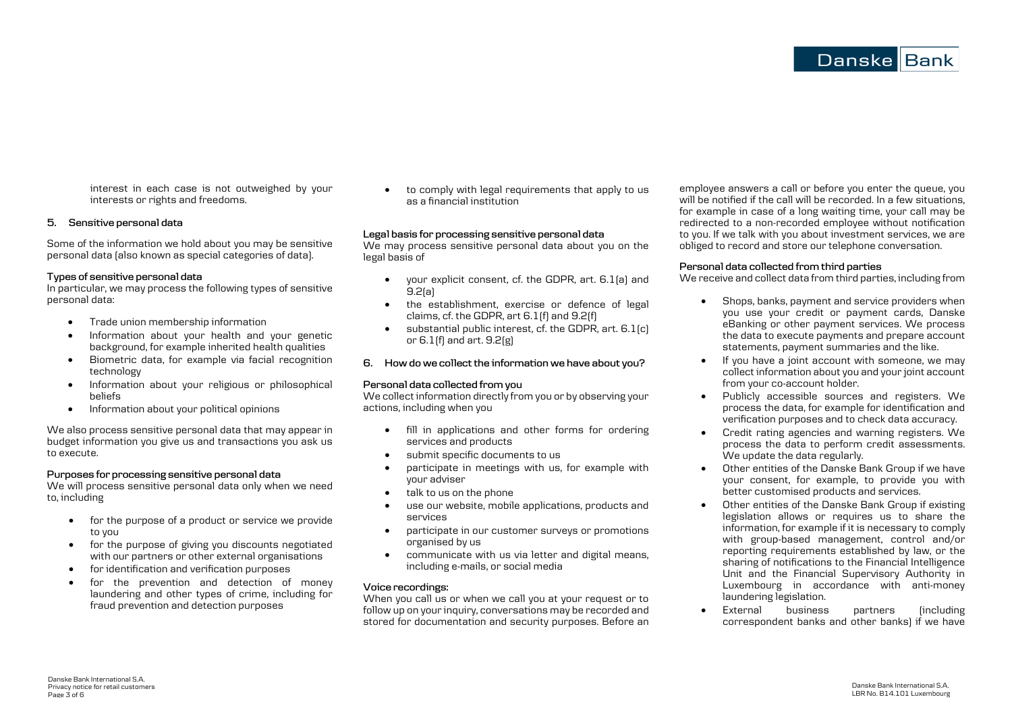interest in each case is not outweighed by your interests or rights and freedoms.

# **5. Sensitive personal data**

Some of the information we hold about you may be sensitive personal data (also known as special categories of data).

# **Types of sensitive personal data**

In particular, we may process the following types of sensitive personal data:

- Trade union membership information
- Information about your health and your genetic background, for example inherited health qualities
- Biometric data, for example via facial recognition technology
- Information about your religious or philosophical beliefs
- Information about your political opinions

We also process sensitive personal data that may appear in budget information you give us and transactions you ask us to execute.

# **Purposes for processing sensitive personal data**

We will process sensitive personal data only when we need to, including

- for the purpose of a product or service we provide to you
- for the purpose of giving you discounts negotiated with our partners or other external organisations
- for identification and verification purposes
- for the prevention and detection of money laundering and other types of crime, including for fraud prevention and detection purposes

• to comply with legal requirements that apply to us as a financial institution

#### **Legal basis for processing sensitive personal data**

We may process sensitive personal data about you on the legal basis of

- your explicit consent, cf. the GDPR, art. 6.1(a) and 9.2(a)
- the establishment, exercise or defence of legal claims, cf. the GDPR, art 6.1(f) and 9.2(f)
- substantial public interest, cf. the GDPR, art. 6.1(c) or 6.1(f) and art. 9.2(g)
- **6. How do we collect the information we have about you?**

# **Personal data collected from you**

We collect information directly from you or by observing your actions, including when you

- fill in applications and other forms for ordering services and products
- submit specific documents to us
- participate in meetings with us, for example with your adviser
- talk to us on the phone
- use our website, mobile applications, products and services
- participate in our customer surveys or promotions organised by us
- communicate with us via letter and digital means, including e-mails, or social media

# **Voice recordings:**

When you call us or when we call you at your request or to follow up on your inquiry, conversations may be recorded and stored for documentation and security purposes. Before an employee answers a call or before you enter the queue, you will be notified if the call will be recorded. In a few situations, for example in case of a long waiting time, your call may be redirected to a non-recorded employee without notification to you. If we talk with you about investment services, we are obliged to record and store our telephone conversation.

# **Personal data collected from third parties**

We receive and collect data from third parties, including from

- Shops, banks, payment and service providers when you use your credit or payment cards, Danske eBanking or other payment services. We process the data to execute payments and prepare account statements, payment summaries and the like.
- If you have a joint account with someone, we may collect information about you and your joint account from your co-account holder.
- Publicly accessible sources and registers. We process the data, for example for identification and verification purposes and to check data accuracy.
- Credit rating agencies and warning registers. We process the data to perform credit assessments. We update the data regularly.
- Other entities of the Danske Bank Group if we have your consent, for example, to provide you with better customised products and services.
- Other entities of the Danske Bank Group if existing legislation allows or requires us to share the information, for example if it is necessary to comply with group-based management, control and/or reporting requirements established by law, or the sharing of notifications to the Financial Intelligence Unit and the Financial Supervisory Authority in Luxembourg in accordance with anti-money laundering legislation.
- External business partners (including correspondent banks and other banks) if we have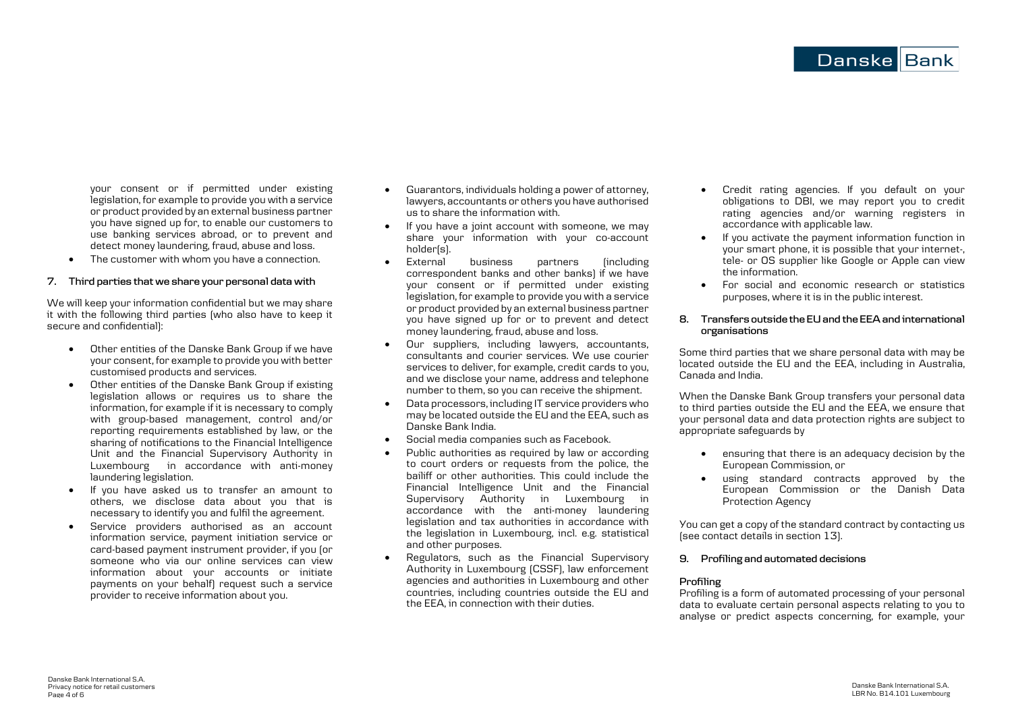Danske Bank International S.A. LBR No. B14.101 Luxembourg

your consent or if permitted under existing legislation, for example to provide you with a service or product provided by an external business partner you have signed up for, to enable our customers to use banking services abroad, or to prevent and detect money laundering, fraud, abuse and loss.

• The customer with whom you have a connection.

# **7. Third parties that we share your personal data with**

We will keep your information confidential but we may share it with the following third parties (who also have to keep it secure and confidential):

- Other entities of the Danske Bank Group if we have your consent, for example to provide you with better customised products and services.
- Other entities of the Danske Bank Group if existing legislation allows or requires us to share the information, for example if it is necessary to comply with group-based management, control and/or reporting requirements established by law, or the sharing of notifications to the Financial Intelligence Unit and the Financial Supervisory Authority in Luxembourg in accordance with anti-money laundering legislation.
- If you have asked us to transfer an amount to others, we disclose data about you that is necessary to identify you and fulfil the agreement.
- Service providers authorised as an account information service, payment initiation service or card-based payment instrument provider, if you (or someone who via our online services can view information about your accounts or initiate payments on your behalf) request such a service provider to receive information about you.
- Guarantors, individuals holding a power of attorney, lawyers, accountants or others you have authorised us to share the information with.
- If you have a joint account with someone, we may share your information with your co-account holder(s).
- External business partners (including correspondent banks and other banks) if we have your consent or if permitted under existing legislation, for example to provide you with a service or product provided by an external business partner you have signed up for or to prevent and detect money laundering, fraud, abuse and loss.
- Our suppliers, including lawyers, accountants, consultants and courier services. We use courier services to deliver, for example, credit cards to you, and we disclose your name, address and telephone number to them, so you can receive the shipment.
- Data processors, including IT service providers who may be located outside the EU and the EEA, such as Danske Bank India.
- Social media companies such as Facebook.
- Public authorities as required by law or according to court orders or requests from the police, the bailiff or other authorities. This could include the Financial Intelligence Unit and the Financial Supervisory Authority in Luxembourg in accordance with the anti-money laundering legislation and tax authorities in accordance with the legislation in Luxembourg, incl. e.g. statistical and other purposes.
- Regulators, such as the Financial Supervisory Authority in Luxembourg (CSSF), law enforcement agencies and authorities in Luxembourg and other countries, including countries outside the EU and the EEA, in connection with their duties.

• Credit rating agencies. If you default on your obligations to DBI, we may report you to credit rating agencies and/or warning registers in accordance with applicable law.

Danske Bank

- If you activate the payment information function in your smart phone, it is possible that your internet-, tele- or OS supplier like Google or Apple can view the information.
- For social and economic research or statistics purposes, where it is in the public interest.

# **8. Transfers outside the EU and the EEA and international organisations**

Some third parties that we share personal data with may be located outside the EU and the EEA, including in Australia, Canada and India.

When the Danske Bank Group transfers your personal data to third parties outside the FU and the FFA, we ensure that your personal data and data protection rights are subject to appropriate safeguards by

- ensuring that there is an adequacy decision by the European Commission, or
- using standard contracts approved by the European Commission or the Danish Data Protection Agency

You can get a copy of the standard contract by contacting us (see contact details in section 13).

# **9. Profiling and automated decisions**

# **Profiling**

Profiling is a form of automated processing of your personal data to evaluate certain personal aspects relating to you to analyse or predict aspects concerning, for example, your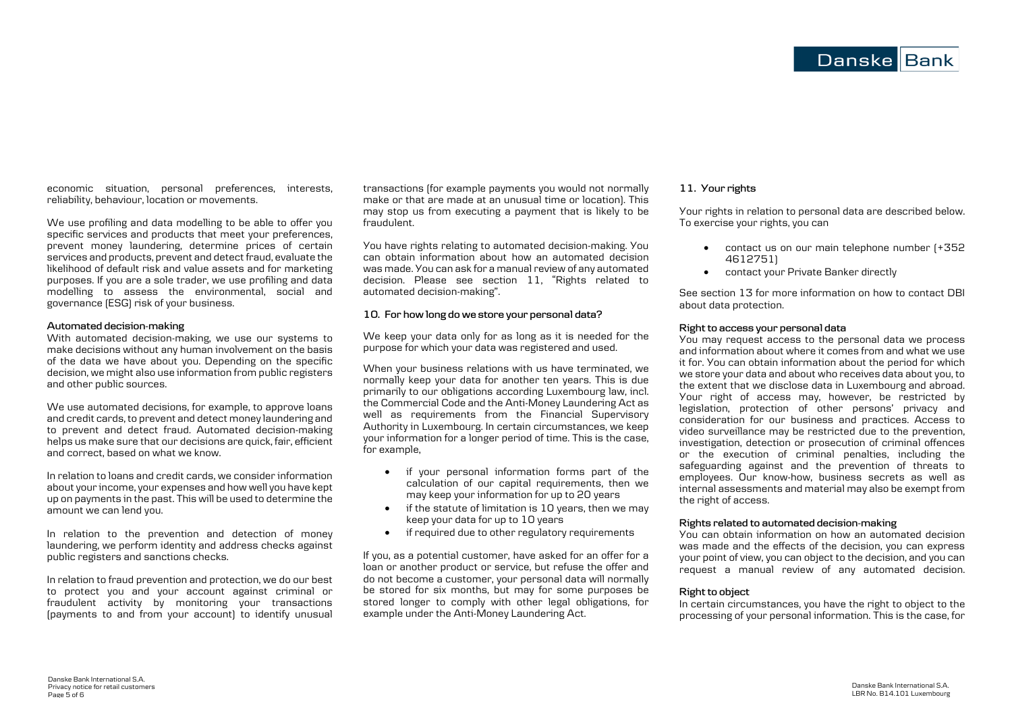economic situation, personal preferences, interests, reliability, behaviour, location or movements.

We use profiling and data modelling to be able to offer you specific services and products that meet your preferences, prevent money laundering, determine prices of certain services and products, prevent and detect fraud, evaluate the likelihood of default risk and value assets and for marketing purposes. If you are a sole trader, we use profiling and data modelling to assess the environmental, social and governance (ESG) risk of your business.

# **Automated decision-making**

With automated decision-making, we use our systems to make decisions without any human involvement on the basis of the data we have about you. Depending on the specific decision, we might also use information from public registers and other public sources.

We use automated decisions, for example, to approve loans and credit cards, to prevent and detect money laundering and to prevent and detect fraud. Automated decision-making helps us make sure that our decisions are quick, fair, efficient and correct, based on what we know.

In relation to loans and credit cards, we consider information about your income, your expenses and how well you have kept up on payments in the past. This will be used to determine the amount we can lend you.

In relation to the prevention and detection of money laundering, we perform identity and address checks against public registers and sanctions checks.

In relation to fraud prevention and protection, we do our best to protect you and your account against criminal or fraudulent activity by monitoring your transactions (payments to and from your account) to identify unusual

transactions (for example payments you would not normally make or that are made at an unusual time or location). This may stop us from executing a payment that is likely to be fraudulent.

You have rights relating to automated decision-making. You can obtain information about how an automated decision was made. You can ask for a manual review of any automated decision. Please see section 11, "Rights related to automated decision-making".

# **10. For how long do we store your personal data?**

We keep your data only for as long as it is needed for the purpose for which your data was registered and used.

When your business relations with us have terminated, we normally keep your data for another ten years. This is due primarily to our obligations according Luxembourg law, incl. the Commercial Code and the Anti-Money Laundering Act as well as requirements from the Financial Supervisory Authority in Luxembourg. In certain circumstances, we keep your information for a longer period of time. This is the case, for example,

- if your personal information forms part of the calculation of our capital requirements, then we may keep your information for up to 20 years
- if the statute of limitation is 10 years, then we may keep your data for up to 10 years
- if required due to other regulatory requirements

If you, as a potential customer, have asked for an offer for a loan or another product or service, but refuse the offer and do not become a customer, your personal data will normally be stored for six months, but may for some purposes be stored longer to comply with other legal obligations, for example under the Anti-Money Laundering Act.

# **11. Your rights**

Your rights in relation to personal data are described below. To exercise your rights, you can

- contact us on our main telephone number (+352 4612751)
- contact your Private Banker directly

See section 13 for more information on how to contact DBI about data protection.

#### **Right to access your personal data**

You may request access to the personal data we process and information about where it comes from and what we use it for. You can obtain information about the period for which we store your data and about who receives data about you, to the extent that we disclose data in Luxembourg and abroad. Your right of access may, however, be restricted by legislation, protection of other persons' privacy and consideration for our business and practices. Access to video surveillance may be restricted due to the prevention, investigation, detection or prosecution of criminal offences or the execution of criminal penalties, including the safeguarding against and the prevention of threats to employees. Our know-how, business secrets as well as internal assessments and material may also be exempt from the right of access.

# **Rights related to automated decision-making**

You can obtain information on how an automated decision was made and the effects of the decision, you can express your point of view, you can object to the decision, and you can request a manual review of any automated decision.

# **Right to object**

In certain circumstances, you have the right to object to the processing of your personal information. This is the case, for